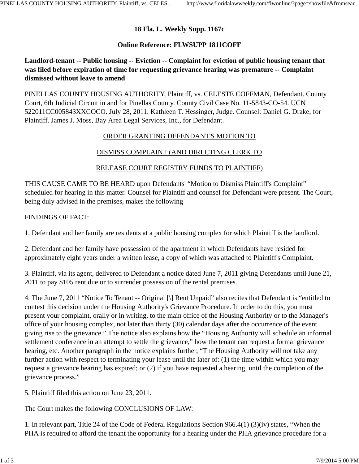# **18 Fla. L. Weekly Supp. 1167c**

## **Online Reference: FLWSUPP 1811COFF**

## **Landlord-tenant -- Public housing -- Eviction -- Complaint for eviction of public housing tenant that was filed before expiration of time for requesting grievance hearing was premature -- Complaint dismissed without leave to amend**

PINELLAS COUNTY HOUSING AUTHORITY, Plaintiff, vs. CELESTE COFFMAN, Defendant. County Court, 6th Judicial Circuit in and for Pinellas County. County Civil Case No. 11-5843-CO-54. UCN 522011CC005843XXCOCO. July 28, 2011. Kathleen T. Hessinger, Judge. Counsel: Daniel G. Drake, for Plaintiff. James J. Moss, Bay Area Legal Services, Inc., for Defendant.

#### ORDER GRANTING DEFENDANT'S MOTION TO

### DISMISS COMPLAINT (AND DIRECTING CLERK TO

## RELEASE COURT REGISTRY FUNDS TO PLAINTIFF)

THIS CAUSE CAME TO BE HEARD upon Defendants' "Motion to Dismiss Plaintiff's Complaint" scheduled for hearing in this matter. Counsel for Plaintiff and counsel for Defendant were present. The Court, being duly advised in the premises, makes the following

### FINDINGS OF FACT:

1. Defendant and her family are residents at a public housing complex for which Plaintiff is the landlord.

2. Defendant and her family have possession of the apartment in which Defendants have resided for approximately eight years under a written lease, a copy of which was attached to Plaintiff's Complaint.

3. Plaintiff, via its agent, delivered to Defendant a notice dated June 7, 2011 giving Defendants until June 21, 2011 to pay \$105 rent due or to surrender possession of the rental premises.

4. The June 7, 2011 "Notice To Tenant -- Original [\] Rent Unpaid" also recites that Defendant is "entitled to contest this decision under the Housing Authority's Grievance Procedure. In order to do this, you must present your complaint, orally or in writing, to the main office of the Housing Authority or to the Manager's office of your housing complex, not later than thirty (30) calendar days after the occurrence of the event giving rise to the grievance." The notice also explains how the "Housing Authority will schedule an informal settlement conference in an attempt to settle the grievance," how the tenant can request a formal grievance hearing, etc. Another paragraph in the notice explains further, "The Housing Authority will not take any further action with respect to terminating your lease until the later of: (1) the time within which you may request a grievance hearing has expired; or (2) if you have requested a hearing, until the completion of the grievance process."

5. Plaintiff filed this action on June 23, 2011.

The Court makes the following CONCLUSIONS OF LAW:

1. In relevant part, Title 24 of the Code of Federal Regulations Section 966.4(1) (3)(iv) states, "When the PHA is required to afford the tenant the opportunity for a hearing under the PHA grievance procedure for a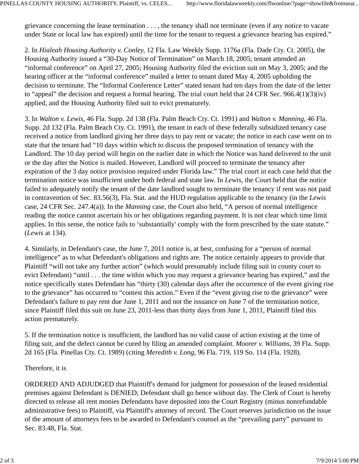grievance concerning the lease termination . . . , the tenancy shall not terminate (even if any notice to vacate under State or local law has expired) until the time for the tenant to request a grievance hearing has expired."

2. In *Hialeah Housing Authority v. Conley,* 12 Fla. Law Weekly Supp. 1176a (Fla. Dade Cty. Ct. 2005), the Housing Authority issued a "30-Day Notice of Termination" on March 18, 2005; tenant attended an "informal conference" on April 27, 2005; Housing Authority filed the eviction suit on May 3, 2005; and the hearing officer at the "informal conference" mailed a letter to tenant dated May 4, 2005 upholding the decision to terminate. The "Informal Conference Letter" stated tenant had ten days from the date of the letter to "appeal" the decision and request a formal hearing. The trial court held that 24 CFR Sec. 966.4(1)(3)(iv) applied, and the Housing Authority filed suit to evict prematurely.

3. In *Walton v. Lewis,* 46 Fla. Supp. 2d 138 (Fla. Palm Beach Cty. Ct. 1991) and *Walton v. Manning,* 46 Fla. Supp. 2d 132 (Fla. Palm Beach Cty. Ct. 1991), the tenant in each of these federally subsidized tenancy case received a notice from landlord giving her three days to pay rent or vacate; the notice in each case went on to state that the tenant had "10 days within which to discuss the proposed termination of tenancy with the Landlord. The 10 day period will begin on the earlier date in which the Notice was hand delivered to the unit or the day after the Notice is mailed. However, Landlord will proceed to terminate the tenancy after expiration of the 3 day notice provision required under Florida law." The trial court in each case held that the termination notice was insufficient under both federal and state law. In *Lewis,* the Court held that the notice failed to adequately notify the tenant of the date landlord sought to terminate the tenancy if rent was not paid in contravention of Sec. 83.56(3), Fla. Stat. and the HUD regulation applicable to the tenancy (in the *Lewis* case, 24 CFR Sec. 247.4(a)). In the *Manning* case, the Court also held, "A person of normal intelligence reading the notice cannot ascertain his or her obligations regarding payment. It is not clear which time limit applies. In this sense, the notice fails to 'substantially' comply with the form prescribed by the state statute." (*Lewis* at 134).

4. Similarly, in Defendant's case, the June 7, 2011 notice is, at best, confusing for a "person of normal intelligence" as to what Defendant's obligations and rights are. The notice certainly appears to provide that Plaintiff "will not take any further action" (which would presumably include filing suit in county court to evict Defendant) "until . . . the time within which you may request a grievance hearing has expired," and the notice specifically states Defendant has "thirty (30) calendar days after the occurrence of the event giving rise to the grievance" has occurred to "contest this action." Even if the "event giving rise to the grievance" were Defendant's failure to pay rent due June 1, 2011 and not the issuance on June 7 of the termination notice, since Plaintiff filed this suit on June 23, 2011-less than thirty days from June 1, 2011, Plaintiff filed this action prematurely.

5. If the termination notice is insufficient, the landlord has no valid cause of action existing at the time of filing suit, and the defect cannot be cured by filing an amended complaint. *Moorer v. Williams,* 39 Fla. Supp. 2d 165 (Fla. Pinellas Cty. Ct. 1989) (citing *Meredith v. Long,* 96 Fla. 719, 119 So. 114 (Fla. 1928).

#### Therefore, it is

ORDERED AND ADJUDGED that Plaintiff's demand for judgment for possession of the leased residential premises against Defendant is DENIED; Defendant shall go hence without day. The Clerk of Court is hereby directed to release all rent monies Defendants have deposited into the Court Registry (minus nonrefundable administrative fees) to Plaintiff, via Plaintiff's attorney of record. The Court reserves jurisdiction on the issue of the amount of attorneys fees to be awarded to Defendant's counsel as the "prevailing party" pursuant to Sec. 83.48, Fla. Stat.